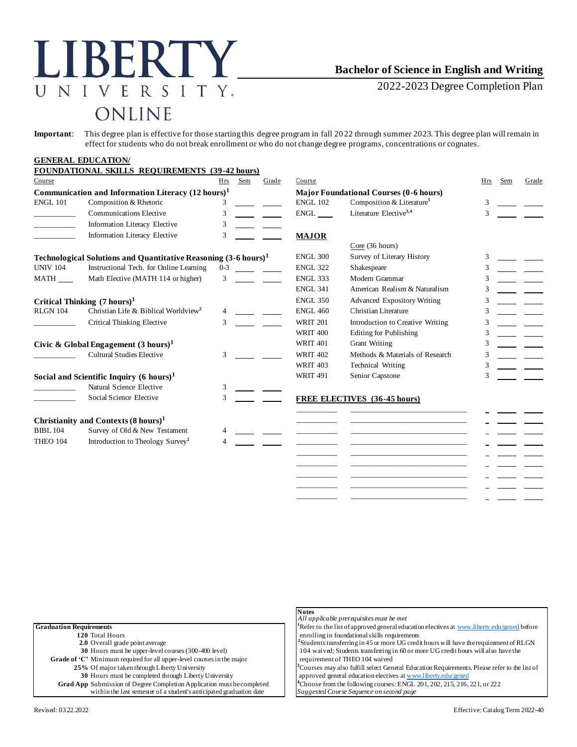## LIBERTY NIVERSITY.  $\overline{U}$ ONLINE

## **Bachelor of Science in English and Writing**

2022-2023 Degree Completion Plan

**Important**: This degree plan is effective for those starting this degree program in fall 2022 through summer 2023. This degree plan will remain in effect for students who do not break enrollment or who do not change degree programs, concentrations or cognates.

## **GENERAL EDUCATION/**

|                                                                            | <b>FOUNDATIONAL SKILLS REQUIREMENTS (39-42 hours)</b>         |            |                 |                 |                                    |                                               |            |     |       |
|----------------------------------------------------------------------------|---------------------------------------------------------------|------------|-----------------|-----------------|------------------------------------|-----------------------------------------------|------------|-----|-------|
| Course                                                                     |                                                               | <b>Hrs</b> | Sem             | Grade           | Course                             |                                               | <b>Hrs</b> | Sem | Grade |
|                                                                            | Communication and Information Literacy $(12 \text{ hours})^1$ |            |                 |                 |                                    | <b>Major Foundational Courses (0-6 hours)</b> |            |     |       |
| <b>ENGL 101</b>                                                            | Composition & Rhetoric                                        |            |                 |                 | <b>ENGL 102</b>                    | Composition & Literature <sup>3</sup>         | 3          |     |       |
|                                                                            | Communications Elective                                       | 3          |                 |                 | $ENGL$ <sub>____</sub>             | Literature Elective $3,4$                     | 3          |     |       |
|                                                                            | Information Literacy Elective                                 | 3          |                 |                 |                                    |                                               |            |     |       |
|                                                                            | Information Literacy Elective                                 | 3          |                 |                 | <b>MAJOR</b>                       |                                               |            |     |       |
|                                                                            |                                                               |            |                 |                 |                                    | Core(36 hours)                                |            |     |       |
| Technological Solutions and Quantitative Reasoning $(3-6 \text{ hours})^1$ |                                                               |            |                 | <b>ENGL 300</b> | Survey of Literary History         | 3                                             |            |     |       |
| <b>UNIV 104</b>                                                            | Instructional Tech. for Online Learning                       | $0 - 3$    |                 |                 | <b>ENGL 322</b>                    | Shakespeare                                   |            |     |       |
| MATH                                                                       | Math Elective (MATH 114 or higher)                            | 3          |                 |                 | <b>ENGL 333</b>                    | Modern Grammar                                | 3          |     |       |
|                                                                            |                                                               |            |                 |                 | <b>ENGL 341</b>                    | American Realism & Naturalism                 |            |     |       |
| Critical Thinking $(7 \text{ hours})^1$                                    |                                                               |            |                 | <b>ENGL 350</b> | <b>Advanced Expository Writing</b> |                                               |            |     |       |
| <b>RLGN 104</b>                                                            | Christian Life & Biblical Worldview <sup>2</sup>              |            |                 |                 | <b>ENGL 460</b>                    | Christian Literature                          | 3          |     |       |
|                                                                            | Critical Thinking Elective                                    | 3          |                 |                 | <b>WRIT 201</b>                    | Introduction to Creative Writing              |            |     |       |
|                                                                            |                                                               |            |                 |                 | <b>WRIT 400</b>                    | <b>Editing for Publishing</b>                 |            |     |       |
| Civic & Global Engagement $(3 \text{ hours})^1$                            |                                                               |            |                 | <b>WRIT 401</b> | <b>Grant Writing</b>               | 3                                             |            |     |       |
|                                                                            | <b>Cultural Studies Elective</b>                              | 3          |                 |                 | <b>WRIT 402</b>                    | Methods & Materials of Research               |            |     |       |
|                                                                            |                                                               |            |                 |                 | <b>WRIT 403</b>                    | <b>Technical Writing</b>                      |            |     |       |
| Social and Scientific Inquiry $(6 \text{ hours})^1$                        |                                                               |            | <b>WRIT 491</b> | Senior Capstone | 3                                  |                                               |            |     |       |
|                                                                            | Natural Science Elective                                      | 3          |                 |                 |                                    |                                               |            |     |       |
|                                                                            | Social Science Elective                                       | 3          |                 |                 |                                    | FREE ELECTIVES (36-45 hours)                  |            |     |       |
|                                                                            | Christianity and Contexts (8 hours) <sup>1</sup>              |            |                 |                 |                                    |                                               |            |     |       |
| <b>BIBL 104</b>                                                            | Survey of Old & New Testament                                 |            |                 |                 |                                    |                                               |            |     |       |
| <b>THEO 104</b>                                                            | Introduction to Theology Survey <sup>2</sup>                  |            |                 |                 |                                    |                                               |            |     |       |
|                                                                            |                                                               |            |                 |                 |                                    |                                               |            |     |       |
|                                                                            |                                                               |            |                 |                 |                                    |                                               |            |     |       |

|                                                                               | <b>Notes</b>                                                                                             |
|-------------------------------------------------------------------------------|----------------------------------------------------------------------------------------------------------|
|                                                                               | All applicable prerequisites must be met                                                                 |
| <b>Graduation Requirements</b>                                                | <sup>1</sup> Refer to the list of approved general education electives at www.liberty.edu/gened before   |
| 120 Total Hours                                                               | enrolling in foundational skills requirements                                                            |
| 2.0 Overall grade point average                                               | ${}^{2}$ Students transferring in 45 or more UG credit hours will have the requirement of RLGN           |
| 30 Hours must be upper-level courses (300-400 level)                          | 104 waived; Students transferring in 60 or more UG credit hours will also have the                       |
| Grade of 'C' Minimum required for all upper-level courses in the major        | requirement of THEO 104 waived                                                                           |
| 25% Of major taken through Liberty University                                 | <sup>3</sup> Courses may also fulfill select General Education Requirements. Please refer to the list of |
| 30 Hours must be completed through Liberty University                         | approved general education electives at www.liberty.edu/gened                                            |
| <b>Grad App</b> Submission of Degree Completion Application must be completed | <sup>4</sup> Choose from the following courses: ENGL 201, 202, 215, 216, 221, or 222                     |
| within the last semester of a student's anticipated graduation date           | Suggested Course Sequence on second page                                                                 |
|                                                                               |                                                                                                          |

\_\_\_\_\_\_\_\_\_\_\_ \_\_\_\_\_\_\_\_\_\_\_\_\_\_\_\_\_\_\_\_\_\_\_\_\_\_\_\_\_\_\_ \_\_\_\_\_\_\_\_\_\_\_ \_\_\_\_\_\_\_\_\_\_\_\_\_\_\_\_\_\_\_\_\_\_\_\_\_\_\_\_\_\_\_ \_\_\_\_\_\_\_\_\_\_\_ \_\_\_\_\_\_\_\_\_\_\_\_\_\_\_\_\_\_\_\_\_\_\_\_\_\_\_\_\_\_\_